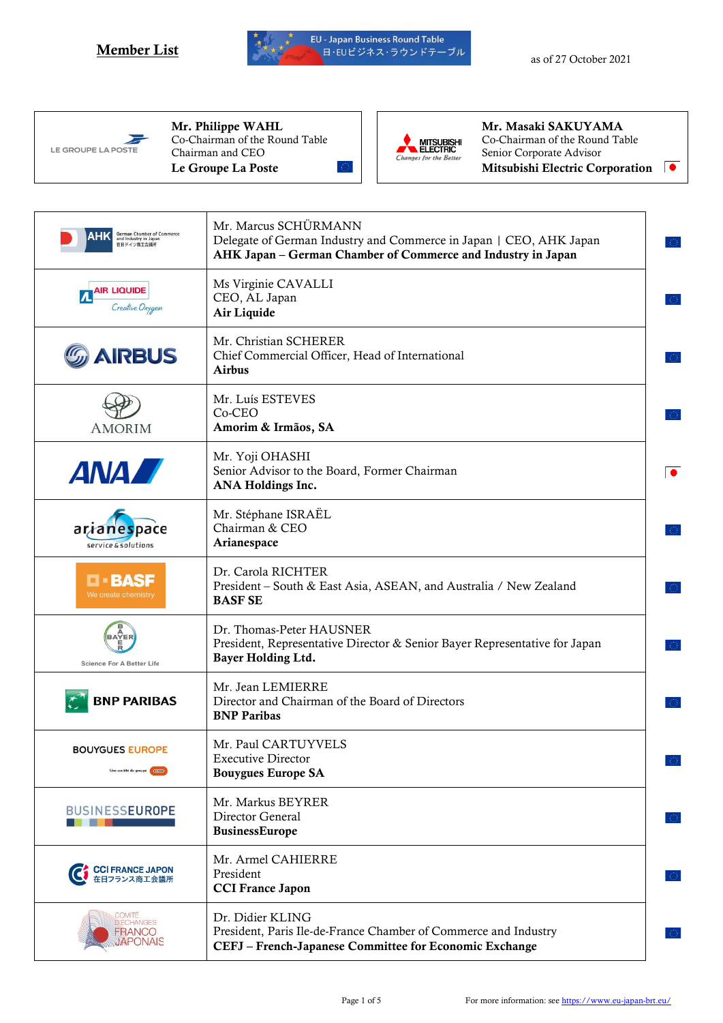



Mr. Philippe WAHL Co-Chairman of the Round Table Chairman and CEO Le Groupe La Poste



Mr. Masaki SAKUYAMA Co-Chairman of the Round Table Senior Corporate Advisor Mitsubishi Electric Corporation

| German Chamber of Commerce<br>and Industry in Japan<br>在日ドイツ商工会議所 | Mr. Marcus SCHÜRMANN<br>Delegate of German Industry and Commerce in Japan   CEO, AHK Japan<br>AHK Japan - German Chamber of Commerce and Industry in Japan |
|-------------------------------------------------------------------|------------------------------------------------------------------------------------------------------------------------------------------------------------|
| AIR LIQUIDE<br>Creative Oxygen                                    | Ms Virginie CAVALLI<br>CEO, AL Japan<br>Air Liquide                                                                                                        |
| <b>AIRBUS</b>                                                     | Mr. Christian SCHERER<br>Chief Commercial Officer, Head of International<br><b>Airbus</b>                                                                  |
| <b>AMORIM</b>                                                     | Mr. Luís ESTEVES<br>Co-CEO<br>Amorim & Irmãos, SA                                                                                                          |
| <b>ANAZ</b>                                                       | Mr. Yoji OHASHI<br>Senior Advisor to the Board, Former Chairman<br>$\bullet$<br>ANA Holdings Inc.                                                          |
| arranespace<br>service & solutions                                | Mr. Stéphane ISRAËL<br>Chairman & CEO<br>Arianespace                                                                                                       |
| <b>D-BASF</b><br>We create chemistry                              | Dr. Carola RICHTER<br>President – South & East Asia, ASEAN, and Australia / New Zealand<br><b>BASF SE</b>                                                  |
| <b>BAYER</b><br><b>Science For A Better Life</b>                  | Dr. Thomas-Peter HAUSNER<br>President, Representative Director & Senior Bayer Representative for Japan<br>Bayer Holding Ltd.                               |
| <b>BNP PARIBAS</b>                                                | Mr. Jean LEMIERRE<br>Director and Chairman of the Board of Directors<br><b>BNP Paribas</b>                                                                 |
| <b>BOUYGUES EUROPE</b><br>Une société du groupe                   | Mr. Paul CARTUYVELS<br><b>Executive Director</b><br><b>Bouygues Europe SA</b>                                                                              |
| <b>BUSINESSEUROPE</b>                                             | Mr. Markus BEYRER<br>Director General<br>BusinessEurope                                                                                                    |
| CCI FRANCE JAPON<br>在日フランス商工会議所                                   | Mr. Armel CAHIERRE<br>President<br><b>CCI France Japon</b>                                                                                                 |
| COMITÉ<br>Q'ÉCHANGES<br><b>FRANCO</b><br>JAPONAIS                 | Dr. Didier KLING<br>President, Paris Ile-de-France Chamber of Commerce and Industry<br>CEFJ - French-Japanese Committee for Economic Exchange              |
|                                                                   |                                                                                                                                                            |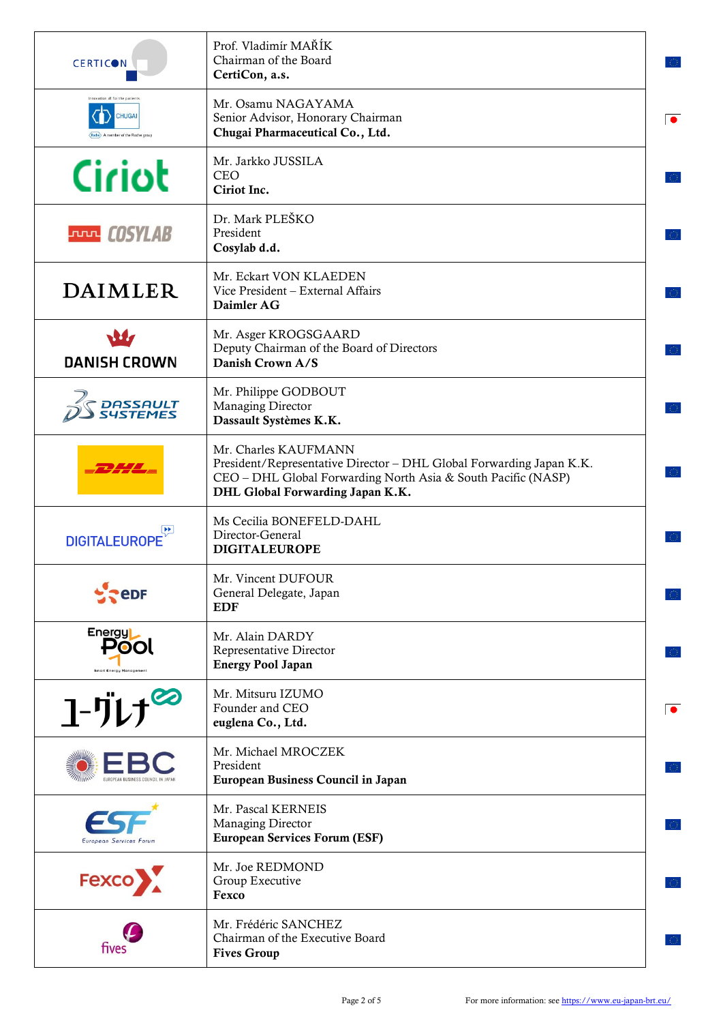| <b>CERTICON</b>                                                                    | Prof. Vladimír MAŘÍK<br>Chairman of the Board<br>CertiCon, a.s.                                                                                                                                   |
|------------------------------------------------------------------------------------|---------------------------------------------------------------------------------------------------------------------------------------------------------------------------------------------------|
| movation all for the nations<br><b>CHUGAI</b><br>Roche A member of the Roche group | Mr. Osamu NAGAYAMA<br>Senior Advisor, Honorary Chairman<br>Chugai Pharmaceutical Co., Ltd.                                                                                                        |
| Ciriot                                                                             | Mr. Jarkko JUSSILA<br><b>CEO</b><br>Ciriot Inc.                                                                                                                                                   |
| <b>FULLE COSYLAB</b>                                                               | Dr. Mark PLEŠKO<br>President<br>Cosylab d.d.                                                                                                                                                      |
| DAIMLER                                                                            | Mr. Eckart VON KLAEDEN<br>Vice President - External Affairs<br>Daimler AG                                                                                                                         |
| <b>DANISH CROWN</b>                                                                | Mr. Asger KROGSGAARD<br>Deputy Chairman of the Board of Directors<br>Danish Crown A/S                                                                                                             |
| <i>DASSAULT<br/>SUSTEMES</i>                                                       | Mr. Philippe GODBOUT<br>Managing Director<br>Dassault Systèmes K.K.                                                                                                                               |
|                                                                                    | Mr. Charles KAUFMANN<br>President/Representative Director - DHL Global Forwarding Japan K.K.<br>CEO - DHL Global Forwarding North Asia & South Pacific (NASP)<br>DHL Global Forwarding Japan K.K. |
| <b>DIGITALEUROPE</b>                                                               | Ms Cecilia BONEFELD-DAHL<br>Director-General<br><b>DIGITALEUROPE</b>                                                                                                                              |
| <b>PeDF</b>                                                                        | Mr. Vincent DUFOUR<br>General Delegate, Japan<br><b>EDF</b>                                                                                                                                       |
| Energy<br>POO<br><b>Smart Energy Management</b>                                    | Mr. Alain DARDY<br>Representative Director<br><b>Energy Pool Japan</b>                                                                                                                            |
| $1 - \frac{1}{2}$                                                                  | Mr. Mitsuru IZUMO<br>Founder and CEO<br>euglena Co., Ltd.                                                                                                                                         |
| EUROPEAN BUSINESS COUNCIL IN JAPA                                                  | Mr. Michael MROCZEK<br>President<br>European Business Council in Japan                                                                                                                            |
| European Services Forum                                                            | Mr. Pascal KERNEIS<br>Managing Director<br><b>European Services Forum (ESF)</b>                                                                                                                   |
| Fexco                                                                              | Mr. Joe REDMOND<br>Group Executive<br>Fexco                                                                                                                                                       |
| fives                                                                              | Mr. Frédéric SANCHEZ<br>Chairman of the Executive Board<br><b>Fives Group</b>                                                                                                                     |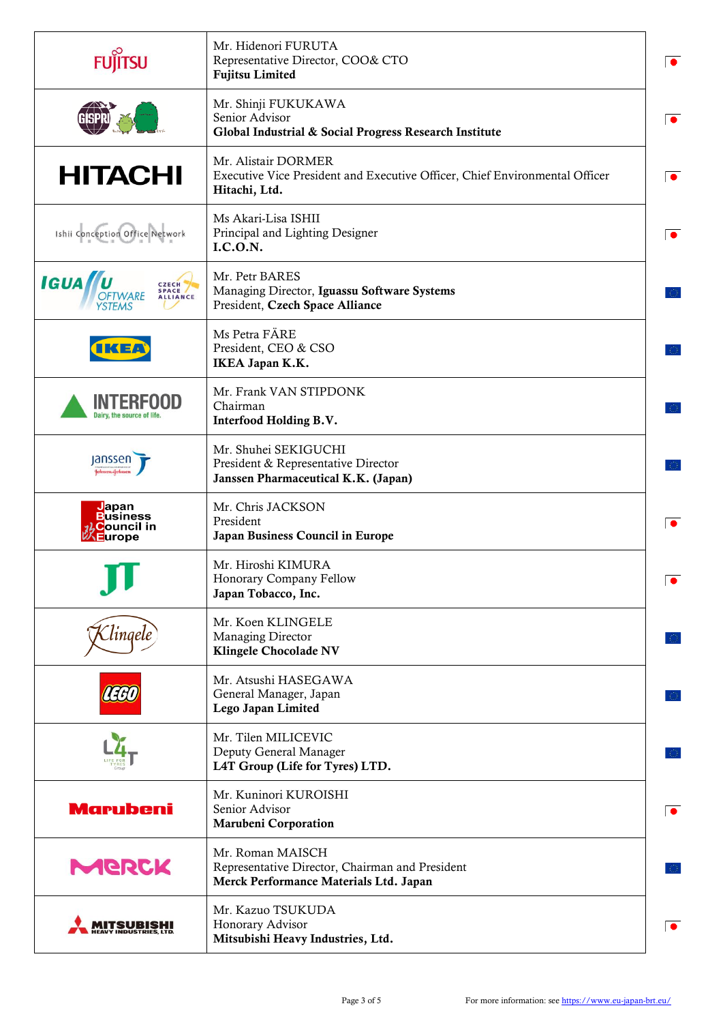| <b>FUJITSU</b>                                                                        | Mr. Hidenori FURUTA<br>Representative Director, COO& CTO<br><b>Fujitsu Limited</b>                                  | $\bullet$ |
|---------------------------------------------------------------------------------------|---------------------------------------------------------------------------------------------------------------------|-----------|
|                                                                                       | Mr. Shinji FUKUKAWA<br>Senior Advisor<br>Global Industrial & Social Progress Research Institute                     | $\bullet$ |
| <b>HITACHI</b>                                                                        | Mr. Alistair DORMER<br>Executive Vice President and Executive Officer, Chief Environmental Officer<br>Hitachi, Ltd. | $\bullet$ |
| Ishii Conception Office Network                                                       | Ms Akari-Lisa ISHII<br>Principal and Lighting Designer<br>I.C.O.N.                                                  | $\bullet$ |
| <b>IGUA U</b><br>CZECH<br>SPACE<br><b>OFTWARE</b><br><b>ALLIANCE</b><br><b>/STEMS</b> | Mr. Petr BARES<br>Managing Director, Iguassu Software Systems<br>President, Czech Space Alliance                    |           |
| <b>IKE/</b>                                                                           | Ms Petra FÄRE<br>President, CEO & CSO<br>IKEA Japan K.K.                                                            |           |
| INTERFOOD<br>Dairy, the source of life                                                | Mr. Frank VAN STIPDONK<br>Chairman<br>Interfood Holding B.V.                                                        |           |
| Janssen                                                                               | Mr. Shuhei SEKIGUCHI<br>President & Representative Director<br>Janssen Pharmaceutical K.K. (Japan)                  |           |
| Japan<br><b>Business</b><br><b>Council in</b><br>Europe                               | Mr. Chris JACKSON<br>President<br>Japan Business Council in Europe                                                  | $\bullet$ |
|                                                                                       | Mr. Hiroshi KIMURA<br>Honorary Company Fellow<br>Japan Tobacco, Inc.                                                |           |
| Clingele <sup>r</sup>                                                                 | Mr. Koen KLINGELE<br>Managing Director<br><b>Klingele Chocolade NV</b>                                              |           |
| LEGU                                                                                  | Mr. Atsushi HASEGAWA<br>General Manager, Japan<br>Lego Japan Limited                                                |           |
|                                                                                       | Mr. Tilen MILICEVIC<br>Deputy General Manager<br>L4T Group (Life for Tyres) LTD.                                    |           |
| <b>Marubeni</b>                                                                       | Mr. Kuninori KUROISHI<br>Senior Advisor<br><b>Marubeni Corporation</b>                                              | $\bullet$ |
| <b>MGBCK</b>                                                                          | Mr. Roman MAISCH<br>Representative Director, Chairman and President<br>Merck Performance Materials Ltd. Japan       |           |
| <b>NDUSTRIE</b>                                                                       | Mr. Kazuo TSUKUDA<br>Honorary Advisor<br>Mitsubishi Heavy Industries, Ltd.                                          | $\bullet$ |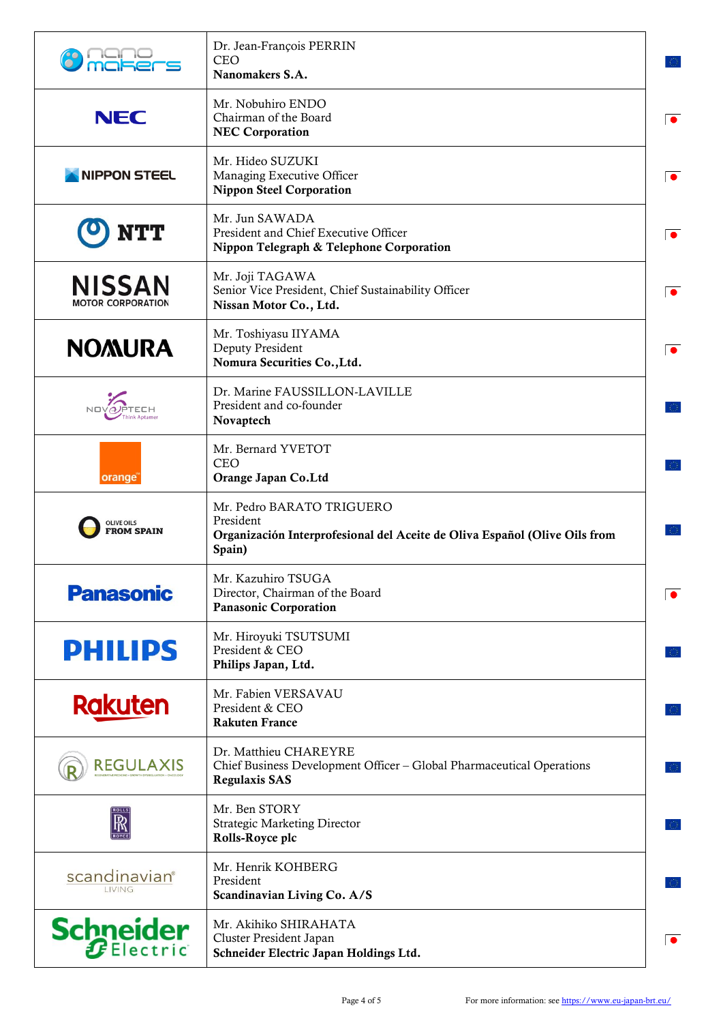|                                           | Dr. Jean-François PERRIN<br><b>CEO</b><br>Nanomakers S.A.                                                                      |
|-------------------------------------------|--------------------------------------------------------------------------------------------------------------------------------|
| <b>NEC</b>                                | Mr. Nobuhiro ENDO<br>Chairman of the Board<br>$\bullet$<br><b>NEC Corporation</b>                                              |
| <b>NIPPON STEEL</b>                       | Mr. Hideo SUZUKI<br>Managing Executive Officer<br>$\bullet$<br><b>Nippon Steel Corporation</b>                                 |
|                                           | Mr. Jun SAWADA<br>President and Chief Executive Officer<br>$\bullet$<br>Nippon Telegraph & Telephone Corporation               |
| <b>NISSAN</b><br><b>MOTOR CORPORATION</b> | Mr. Joji TAGAWA<br>Senior Vice President, Chief Sustainability Officer<br>$\bullet$<br>Nissan Motor Co., Ltd.                  |
| <b>NOMURA</b>                             | Mr. Toshiyasu IIYAMA<br>Deputy President<br>$\bullet$<br>Nomura Securities Co., Ltd.                                           |
|                                           | Dr. Marine FAUSSILLON-LAVILLE<br>President and co-founder<br>Novaptech                                                         |
| orange                                    | Mr. Bernard YVETOT<br><b>CEO</b><br>Orange Japan Co.Ltd                                                                        |
| <b>OLIVE OILS</b><br><b>FROM SPAIN</b>    | Mr. Pedro BARATO TRIGUERO<br>President<br>Organización Interprofesional del Aceite de Oliva Español (Olive Oils from<br>Spain) |
| <b>Panasonic</b>                          | Mr. Kazuhiro TSUGA<br>Director, Chairman of the Board<br><b>Panasonic Corporation</b>                                          |
| <b>PHILIPS</b>                            | Mr. Hiroyuki TSUTSUMI<br>President & CEO<br>Philips Japan, Ltd.                                                                |
| <b>Rakuten</b>                            | Mr. Fabien VERSAVAU<br>President & CEO<br><b>Rakuten France</b>                                                                |
| <b>REGULAXIS</b>                          | Dr. Matthieu CHAREYRE<br>Chief Business Development Officer - Global Pharmaceutical Operations<br><b>Regulaxis SAS</b>         |
| ℝ                                         | Mr. Ben STORY<br><b>Strategic Marketing Director</b><br>Rolls-Royce plc                                                        |
| scandinavian <sup>®</sup><br>LIVING       | Mr. Henrik KOHBERG<br>President<br>Scandinavian Living Co. A/S                                                                 |
| <b>Schneider</b>                          | Mr. Akihiko SHIRAHATA<br>Cluster President Japan<br>$\bullet$<br>Schneider Electric Japan Holdings Ltd.                        |